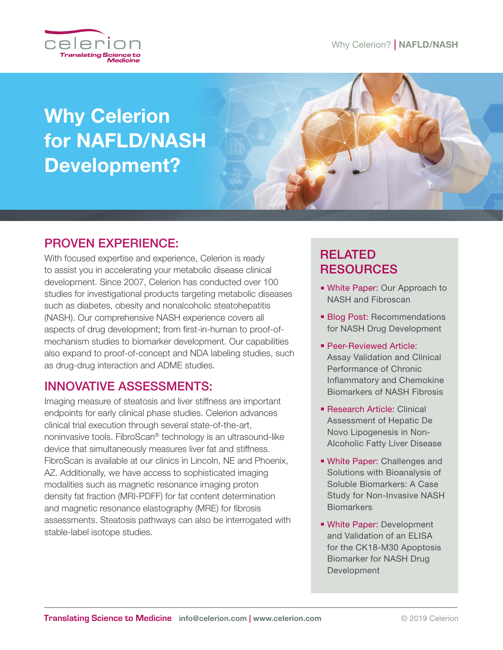

# Why Celerion for NAFLD/NASH Development?



# PROVEN EXPERIENCE:

With focused expertise and experience, Celerion is ready to assist you in accelerating your metabolic disease clinical development. Since 2007, Celerion has conducted over 100 studies for investigational products targeting metabolic diseases such as diabetes, obesity and nonalcoholic steatohepatitis (NASH). Our comprehensive NASH experience covers all aspects of drug development; from first-in-human to proof-ofmechanism studies to biomarker development. Our capabilities also expand to proof-of-concept and NDA labeling studies, such as drug-drug interaction and ADME studies.

## INNOVATIVE ASSESSMENTS:

Imaging measure of steatosis and liver stiffness are important endpoints for early clinical phase studies. Celerion advances clinical trial execution through several state-of-the-art, noninvasive tools. FibroScan® technology is an ultrasound-like device that simultaneously measures liver fat and stiffness. FibroScan is available at our clinics in Lincoln, NE and Phoenix, AZ. Additionally, we have access to sophisticated imaging modalities such as magnetic resonance imaging proton density fat fraction (MRI-PDFF) for fat content determination and magnetic resonance elastography (MRE) for fibrosis assessments. Steatosis pathways can also be interrogated with stable-label isotope studies.

# RELATED RESOURCES

- White Paper: Our Approach to NASH and Fibroscan
- **Blog Post: Recommendations** for NASH Drug Development
- **Peer-Reviewed Article:** Assay Validation and Clinical Performance of Chronic [Inflammatory and Chemokine](https://journals.plos.org/plosone/article?id=10.1371/journal.pone.0217263)  Biomarkers of NASH Fibrosis
- **Research Article: Clinical** Assessment of Hepatic De Novo Lipogenesis in Non-[Alcoholic Fatty Liver Disease](https://www.celerion.com/wp-content/uploads/2016/09/Celerion_Clinical-assessement-of-hepatic-DNL-in-NAFLD-review_092716-1.pdf)
- **Nhite Paper: Challenges and** Solutions with Bioanalysis of Soluble Biomarkers: A Case [Study for Non-Invasive NASH](https://www.celerion.com/wp-content/uploads/2017/09/090517_Celerion_NASHBiomarkers_WP_F.pdf)  **Biomarkers**
- **Nhite Paper: Development** and Validation of an ELISA [for the CK18-M30 Apoptosis](https://www.celerion.com/wp-content/uploads/2018/04/040318_Celerion_Dev-and-Valid-of-an-ELISA-for-CK18-M30-Apoptosis-Biomarker-for-NASH-Drug-Dev_WP.pdf)  Biomarker for NASH Drug Development